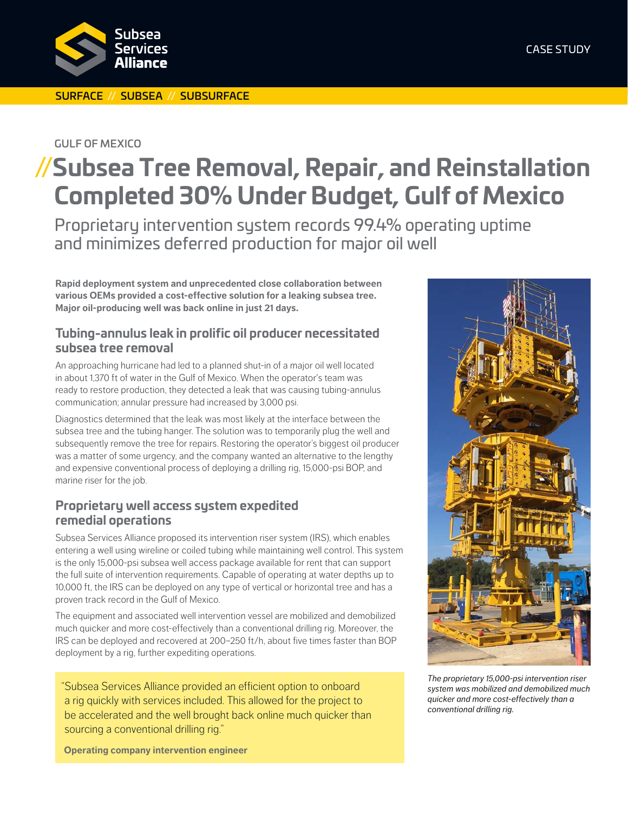

#### SURFACE // SUBSEA // SUBSURFACE

#### GULF OF MEXICO

# **//Subsea Tree Removal, Repair, and Reinstallation Completed 30% Under Budget, Gulf of Mexico**

Proprietary intervention system records 99.4% operating uptime and minimizes deferred production for major oil well

**Rapid deployment system and unprecedented close collaboration between various OEMs provided a cost-effective solution for a leaking subsea tree. Major oil-producing well was back online in just 21 days.**

#### **Tubing-annulus leak in prolific oil producer necessitated subsea tree removal**

An approaching hurricane had led to a planned shut-in of a major oil well located in about 1,370 ft of water in the Gulf of Mexico. When the operator's team was ready to restore production, they detected a leak that was causing tubing-annulus communication; annular pressure had increased by 3,000 psi.

Diagnostics determined that the leak was most likely at the interface between the subsea tree and the tubing hanger. The solution was to temporarily plug the well and subsequently remove the tree for repairs. Restoring the operator's biggest oil producer was a matter of some urgency, and the company wanted an alternative to the lengthy and expensive conventional process of deploying a drilling rig, 15,000-psi BOP, and marine riser for the job.

## **Proprietary well access system expedited remedial operations**

Subsea Services Alliance proposed its intervention riser system (IRS), which enables entering a well using wireline or coiled tubing while maintaining well control. This system is the only 15,000-psi subsea well access package available for rent that can support the full suite of intervention requirements. Capable of operating at water depths up to 10,000 ft, the IRS can be deployed on any type of vertical or horizontal tree and has a proven track record in the Gulf of Mexico.

The equipment and associated well intervention vessel are mobilized and demobilized much quicker and more cost-effectively than a conventional drilling rig. Moreover, the IRS can be deployed and recovered at 200–250 ft/h, about five times faster than BOP deployment by a rig, further expediting operations.

"Subsea Services Alliance provided an efficient option to onboard a rig quickly with services included. This allowed for the project to be accelerated and the well brought back online much quicker than sourcing a conventional drilling rig."

*The proprietary 15,000‑psi intervention riser system was mobilized and demobilized much quicker and more cost-effectively than a conventional drilling rig.*

**Operating company intervention engineer**